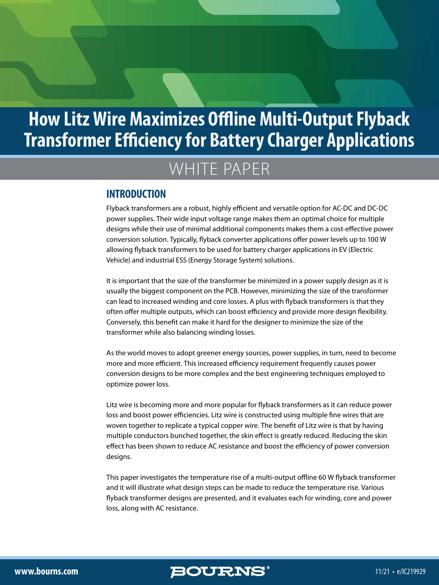# WHITE PAPER

#### **INTRODUCTION**

Flyback transformers are a robust, highly efficient and versatile option for AC-DC and DC-DC power supplies. Their wide input voltage range makes them an optimal choice for multiple designs while their use of minimal additional components makes them a cost-effective power conversion solution. Typically, flyback converter applications offer power levels up to 100 W allowing flyback transformers to be used for battery charger applications in EV (Electric Vehicle) and industrial ESS (Energy Storage System) solutions.

It is important that the size of the transformer be minimized in a power supply design as it is usually the biggest component on the PCB. However, minimizing the size of the transformer can lead to increased winding and core losses. A plus with flyback transformers is that they often offer multiple outputs, which can boost efficiency and provide more design flexibility. Conversely, this benefit can make it hard for the designer to minimize the size of the transformer while also balancing winding losses.

As the world moves to adopt greener energy sources, power supplies, in turn, need to become more and more efficient. This increased efficiency requirement frequently causes power conversion designs to be more complex and the best engineering techniques employed to optimize power loss.

Litz wire is becoming more and more popular for flyback transformers as it can reduce power loss and boost power efficiencies. Litz wire is constructed using multiple fine wires that are woven together to replicate a typical copper wire. The benefit of Litz wire is that by having multiple conductors bunched together, the skin effect is greatly reduced. Reducing the skin effect has been shown to reduce AC resistance and boost the efficiency of power conversion designs.

This paper investigates the temperature rise of a multi-output offline 60 W flyback transformer and it will illustrate what design steps can be made to reduce the temperature rise. Various flyback transformer designs are presented, and it evaluates each for winding, core and power loss, along with AC resistance.

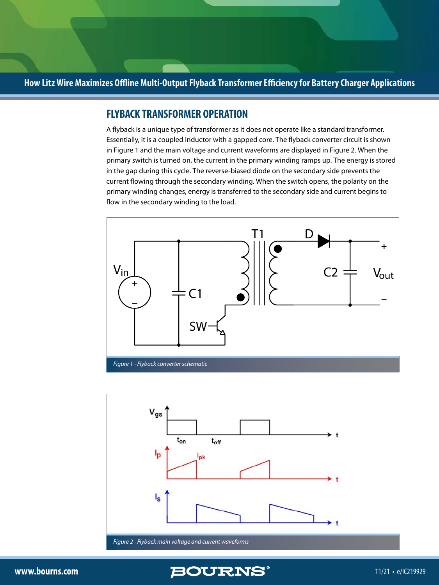#### **FLYBACK TRANSFORMER OPERATION**

A flyback is a unique type of transformer as it does not operate like a standard transformer. Essentially, it is a coupled inductor with a gapped core. The flyback converter circuit is shown in Figure 1 and the main voltage and current waveforms are displayed in Figure 2. When the primary switch is turned on, the current in the primary winding ramps up. The energy is stored in the gap during this cycle. The reverse-biased diode on the secondary side prevents the current flowing through the secondary winding. When the switch opens, the polarity on the primary winding changes, energy is transferred to the secondary side and current begins to flow in the secondary winding to the load.





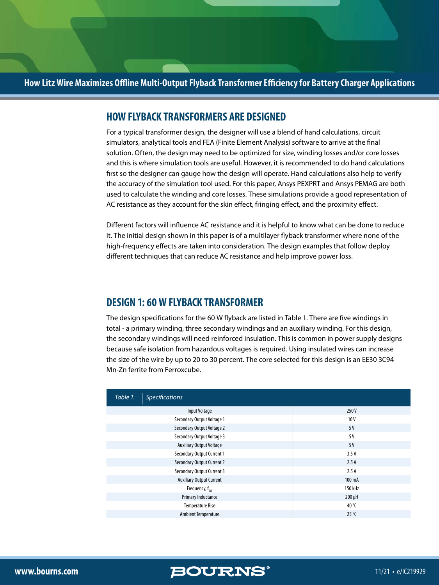#### **HOW FLYBACK TRANSFORMERS ARE DESIGNED**

For a typical transformer design, the designer will use a blend of hand calculations, circuit simulators, analytical tools and FEA (Finite Element Analysis) software to arrive at the final solution. Often, the design may need to be optimized for size, winding losses and/or core losses and this is where simulation tools are useful. However, it is recommended to do hand calculations first so the designer can gauge how the design will operate. Hand calculations also help to verify the accuracy of the simulation tool used. For this paper, Ansys PEXPRT and Ansys PEMAG are both used to calculate the winding and core losses. These simulations provide a good representation of AC resistance as they account for the skin effect, fringing effect, and the proximity effect.

Different factors will influence AC resistance and it is helpful to know what can be done to reduce it. The initial design shown in this paper is of a multilayer flyback transformer where none of the high-frequency effects are taken into consideration. The design examples that follow deploy different techniques that can reduce AC resistance and help improve power loss.

#### **DESIGN 1: 60 W FLYBACK TRANSFORMER**

The design specifications for the 60 W flyback are listed in Table 1. There are five windings in total - a primary winding, three secondary windings and an auxiliary winding. For this design, the secondary windings will need reinforced insulation. This is common in power supply designs because safe isolation from hazardous voltages is required. Using insulated wires can increase the size of the wire by up to 20 to 30 percent. The core selected for this design is an EE30 3C94 Mn-Zn ferrite from Ferroxcube.

| Table 1.<br><b>Specifications</b> |                |
|-----------------------------------|----------------|
| Input Voltage                     | 250 V          |
| Secondary Output Voltage 1        | 10V            |
| Secondary Output Voltage 2        | 5V             |
| Secondary Output Voltage 3        | 5 V            |
| <b>Auxiliary Output Voltage</b>   | 5V             |
| <b>Secondary Output Current 1</b> | 3.5A           |
| <b>Secondary Output Current 2</b> | 2.5A           |
| <b>Secondary Output Current 3</b> | 2.5A           |
| <b>Auxiliary Output Current</b>   | 100 mA         |
| Frequency, $f_{\text{cw}}$        | 150 kHz        |
| Primary Inductance                | $200 \mu H$    |
| <b>Temperature Rise</b>           | 40 °C          |
| <b>Ambient Temperature</b>        | $25^{\circ}$ C |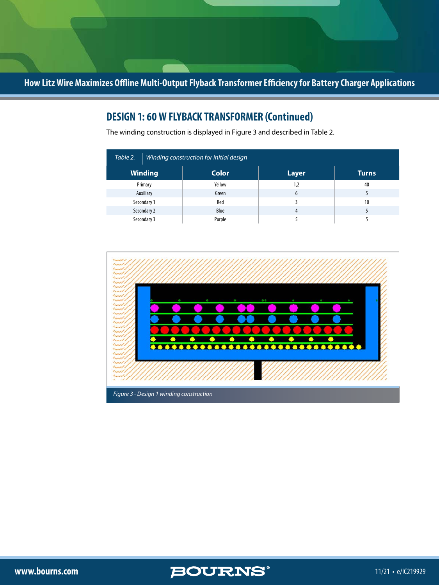# **DESIGN 1: 60 W FLYBACK TRANSFORMER (Continued)**

The winding construction is displayed in Figure 3 and described in Table 2.

| Table 2.<br>Winding construction for initial design |              |              |              |  |
|-----------------------------------------------------|--------------|--------------|--------------|--|
| <b>Winding</b>                                      | <b>Color</b> | <b>Layer</b> | <b>Turns</b> |  |
| Primary                                             | Yellow       | 1,2          | 40           |  |
| Auxiliary                                           | Green        | 6            |              |  |
| Secondary 1                                         | Red          |              | 10           |  |
| Secondary 2                                         | Blue         | 4            |              |  |
| Secondary 3                                         | Purple       |              |              |  |





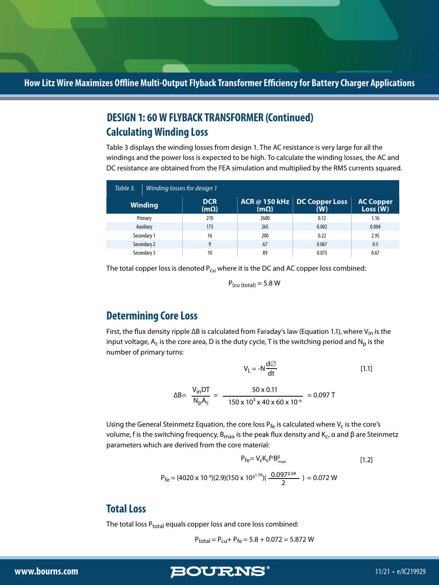# **Calculating Winding Loss DESIGN 1: 60 W FLYBACK TRANSFORMER (Continued)**

Table 3 displays the winding losses from design 1. The AC resistance is very large for all the windings and the power loss is expected to be high. To calculate the winding losses, the AC and DC resistance are obtained from the FEA simulation and multiplied by the RMS currents squared.

| Table 3.<br>Winding losses for design 1 |  |                           |             |                                       |                             |
|-----------------------------------------|--|---------------------------|-------------|---------------------------------------|-----------------------------|
| <b>Winding</b>                          |  | <b>DCR</b><br>$(m\Omega)$ | $(m\Omega)$ | ACR @ 150 kHz   DC Copper Loss<br>(W) | <b>AC Copper</b><br>Loss(W) |
| Primary                                 |  | 270                       | 2600        | 0.12                                  | 1.16                        |
| Auxiliary                               |  | 173                       | 265         | 0.002                                 | 0.004                       |
| Secondary 1                             |  | 16                        | 200         | 0.22                                  | 2.95                        |
| Secondary 2                             |  | 9                         | 67          | 0.067                                 | 0.5                         |
| Secondary 3                             |  | 10                        | 89          | 0.075                                 | 0.67                        |

The total copper loss is denoted  $P_{cu}$  where it is the DC and AC copper loss combined:

 $P_{\text{(cu (total))}} = 5.8 \text{ W}$ 

## **Determining Core Loss**

First, the flux density ripple ΔB is calculated from Faraday's law (Equation 1.1), where V<sub>in</sub> is the input voltage,  $A_c$  is the core area, D is the duty cycle, T is the switching period and  $N_p$  is the number of primary turns:

$$
V_{L} = -N \frac{d\varnothing}{dt}
$$
 [1.1]

$$
\Delta B = \frac{V_{in}DT}{N_{p}A_{c}} = \frac{50 \times 0.11}{150 \times 10^{3} \times 40 \times 60 \times 10^{-6}} = 0.097 T
$$

Using the General Steinmetz Equation, the core loss  $P_{fe}$  is calculated where  $V_c$  is the core's volume, f is the switching frequency,  $B_{max}$  is the peak flux density and  $K_c$ , α and β are Steinmetz parameters which are derived from the core material:

$$
P_{fe} = V_c K_c f^{\alpha} B^{\beta}_{max}
$$
 [1.2]

$$
P_{fe} = (4020 \times 10^{-9})(2.9)(150 \times 10^{3^{1.39}})(\frac{0.097^{2.59}}{2}) = 0.072 W
$$

### **Total Loss**

The total loss  $P_{total}$  equals copper loss and core loss combined:

$$
P_{total} = P_{cu} + P_{fe} = 5.8 + 0.072 = 5.872 W
$$

**www.bourns.com 5 11/21 • e/IC219929**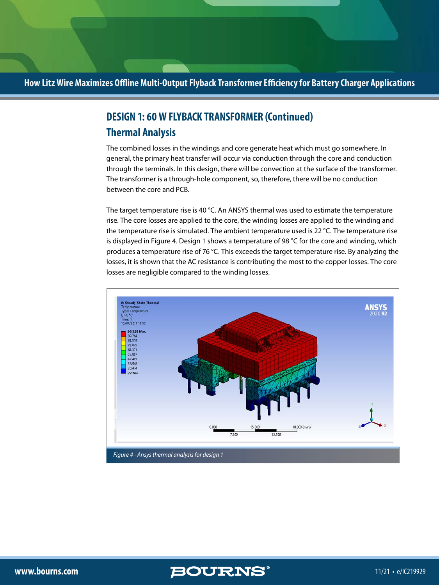# **Thermal Analysis DESIGN 1: 60 W FLYBACK TRANSFORMER (Continued)**

The combined losses in the windings and core generate heat which must go somewhere. In general, the primary heat transfer will occur via conduction through the core and conduction through the terminals. In this design, there will be convection at the surface of the transformer. The transformer is a through-hole component, so, therefore, there will be no conduction between the core and PCB.

The target temperature rise is 40 °C. An ANSYS thermal was used to estimate the temperature rise. The core losses are applied to the core, the winding losses are applied to the winding and the temperature rise is simulated. The ambient temperature used is 22 °C. The temperature rise is displayed in Figure 4. Design 1 shows a temperature of 98 °C for the core and winding, which produces a temperature rise of 76 °C. This exceeds the target temperature rise. By analyzing the losses, it is shown that the AC resistance is contributing the most to the copper losses. The core losses are negligible compared to the winding losses.



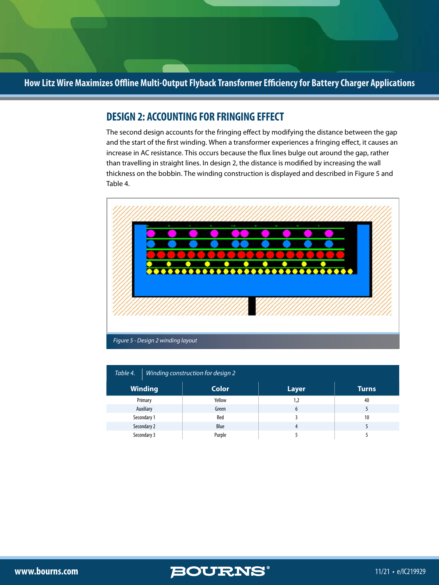### **DESIGN 2: ACCOUNTING FOR FRINGING EFFECT**

The second design accounts for the fringing effect by modifying the distance between the gap and the start of the first winding. When a transformer experiences a fringing effect, it causes an increase in AC resistance. This occurs because the flux lines bulge out around the gap, rather than travelling in straight lines. In design 2, the distance is modified by increasing the wall thickness on the bobbin. The winding construction is displayed and described in Figure 5 and Table 4.



| Table 4.<br>Winding construction for design 2 |                |              |              |              |
|-----------------------------------------------|----------------|--------------|--------------|--------------|
|                                               | <b>Winding</b> | <b>Color</b> | <b>Layer</b> | <b>Turns</b> |
|                                               | Primary        | Yellow       | 1,2          | 40           |
|                                               | Auxiliary      | Green        | 6            |              |
|                                               | Secondary 1    | Red          |              | 10           |
|                                               | Secondary 2    | Blue         | 4            |              |
|                                               | Secondary 3    | Purple       |              |              |

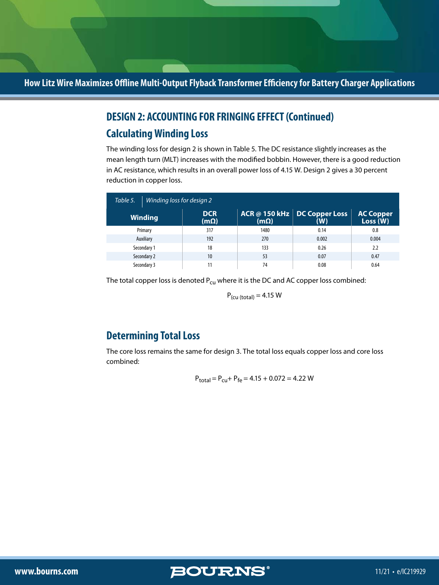# **DESIGN 2: ACCOUNTING FOR FRINGING EFFECT (Continued)**

# **Calculating Winding Loss**

The winding loss for design 2 is shown in Table 5. The DC resistance slightly increases as the mean length turn (MLT) increases with the modified bobbin. However, there is a good reduction in AC resistance, which results in an overall power loss of 4.15 W. Design 2 gives a 30 percent reduction in copper loss.

| Table 5. | Winding loss for design 2 |                           |             |                                       |                              |
|----------|---------------------------|---------------------------|-------------|---------------------------------------|------------------------------|
|          | <b>Winding</b>            | <b>DCR</b><br>$(m\Omega)$ | $(m\Omega)$ | ACR @ 150 kHz   DC Copper Loss<br>(W) | <b>AC Copper</b><br>Loss (W) |
|          | Primary                   | 317                       | 1480        | 0.14                                  | 0.8                          |
|          | Auxiliary                 | 192                       | 270         | 0.002                                 | 0.004                        |
|          | Secondary 1               | 18                        | 133         | 0.26                                  | 2.2                          |
|          | Secondary 2               | 10                        | 53          | 0.07                                  | 0.47                         |
|          | Secondary 3               | 11                        | 74          | 0.08                                  | 0.64                         |

The total copper loss is denoted  $P_{cu}$  where it is the DC and AC copper loss combined:

 $P_{\text{(cu (total))}} = 4.15 \text{ W}$ 

## **Determining Total Loss**

The core loss remains the same for design 3. The total loss equals copper loss and core loss combined:

$$
P_{total} = P_{cu} + P_{fe} = 4.15 + 0.072 = 4.22
$$
 W

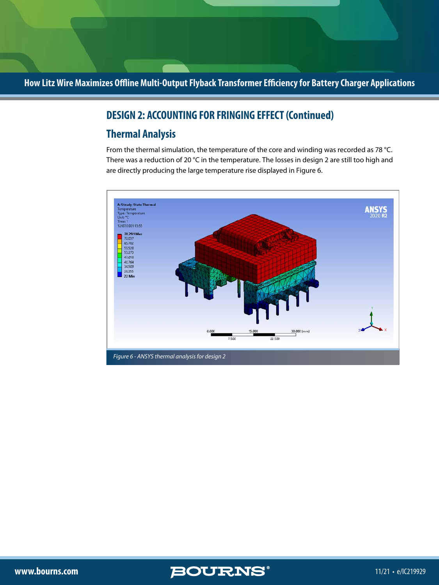## **DESIGN 2: ACCOUNTING FOR FRINGING EFFECT (Continued)**

# **Thermal Analysis**

From the thermal simulation, the temperature of the core and winding was recorded as 78 °C. There was a reduction of 20 °C in the temperature. The losses in design 2 are still too high and are directly producing the large temperature rise displayed in Figure 6.



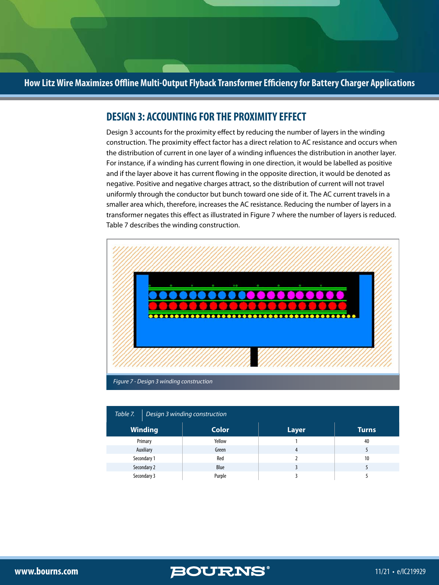#### **DESIGN 3: ACCOUNTING FOR THE PROXIMITY EFFECT**

Design 3 accounts for the proximity effect by reducing the number of layers in the winding construction. The proximity effect factor has a direct relation to AC resistance and occurs when the distribution of current in one layer of a winding influences the distribution in another layer. For instance, if a winding has current flowing in one direction, it would be labelled as positive and if the layer above it has current flowing in the opposite direction, it would be denoted as negative. Positive and negative charges attract, so the distribution of current will not travel uniformly through the conductor but bunch toward one side of it. The AC current travels in a smaller area which, therefore, increases the AC resistance. Reducing the number of layers in a transformer negates this effect as illustrated in Figure 7 where the number of layers is reduced. Table 7 describes the winding construction.



| Table 7. $\vert$ Design 3 winding construction |              |       |              |  |
|------------------------------------------------|--------------|-------|--------------|--|
| <b>Winding</b>                                 | <b>Color</b> | Layer | <b>Turns</b> |  |
| Primary                                        | Yellow       |       | 40           |  |
| Auxiliary                                      | Green        | 4     |              |  |
| Secondary 1                                    | Red          |       | 10           |  |
| Secondary 2                                    | Blue         |       |              |  |
| Secondary 3                                    | Purple       |       |              |  |

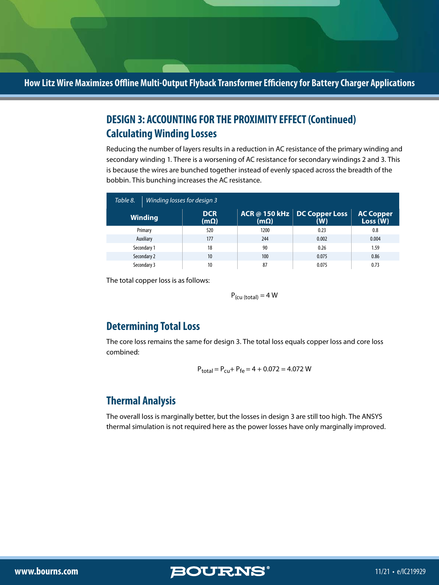# **Calculating Winding Losses DESIGN 3: ACCOUNTING FOR THE PROXIMITY EFFECT (Continued)**

Reducing the number of layers results in a reduction in AC resistance of the primary winding and secondary winding 1. There is a worsening of AC resistance for secondary windings 2 and 3. This is because the wires are bunched together instead of evenly spaced across the breadth of the bobbin. This bunching increases the AC resistance.

| Table 8. | Winding losses for design 3 |                           |             |                                            |                              |
|----------|-----------------------------|---------------------------|-------------|--------------------------------------------|------------------------------|
|          | <b>Winding</b>              | <b>DCR</b><br>$(m\Omega)$ | $(m\Omega)$ | <b>ACR @ 150 kHz DC Copper Loss</b><br>(W) | <b>AC Copper</b><br>Loss (W) |
|          | Primary                     | 520                       | 1200        | 0.23                                       | 0.8                          |
|          | Auxiliary                   | 177                       | 244         | 0.002                                      | 0.004                        |
|          | Secondary 1                 | 18                        | 90          | 0.26                                       | 1.59                         |
|          | Secondary 2                 | 10                        | 100         | 0.075                                      | 0.86                         |
|          | Secondary 3                 | 10                        | 87          | 0.075                                      | 0.73                         |

The total copper loss is as follows:

 $P_{\text{(cu (total))}} = 4 \text{ W}$ 

## **Determining Total Loss**

The core loss remains the same for design 3. The total loss equals copper loss and core loss combined:

$$
P_{total} = P_{cu} + P_{fe} = 4 + 0.072 = 4.072 W
$$

## **Thermal Analysis**

The overall loss is marginally better, but the losses in design 3 are still too high. The ANSYS thermal simulation is not required here as the power losses have only marginally improved.

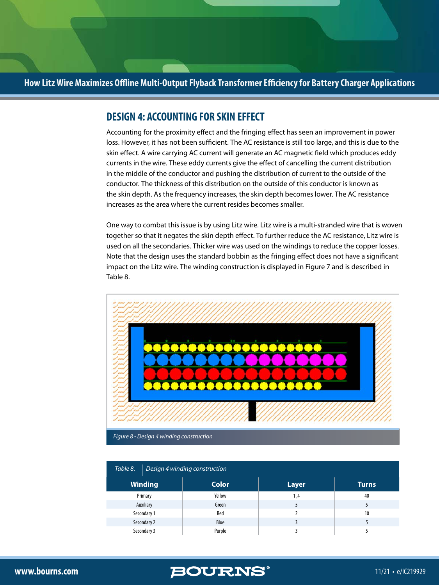#### **DESIGN 4: ACCOUNTING FOR SKIN EFFECT**

Accounting for the proximity effect and the fringing effect has seen an improvement in power loss. However, it has not been sufficient. The AC resistance is still too large, and this is due to the skin effect. A wire carrying AC current will generate an AC magnetic field which produces eddy currents in the wire. These eddy currents give the effect of cancelling the current distribution in the middle of the conductor and pushing the distribution of current to the outside of the conductor. The thickness of this distribution on the outside of this conductor is known as the skin depth. As the frequency increases, the skin depth becomes lower. The AC resistance increases as the area where the current resides becomes smaller.

One way to combat this issue is by using Litz wire. Litz wire is a multi-stranded wire that is woven together so that it negates the skin depth effect. To further reduce the AC resistance, Litz wire is used on all the secondaries. Thicker wire was used on the windings to reduce the copper losses. Note that the design uses the standard bobbin as the fringing effect does not have a significant impact on the Litz wire. The winding construction is displayed in Figure 7 and is described in Table 8.



| Table 8.<br>Design 4 winding construction |              |              |              |  |
|-------------------------------------------|--------------|--------------|--------------|--|
| <b>Winding</b>                            | <b>Color</b> | <b>Layer</b> | <b>Turns</b> |  |
| Primary                                   | Yellow       | 1,4          | 40           |  |
| Auxiliary                                 | Green        |              |              |  |
| Secondary 1                               | Red          |              | 10           |  |
| Secondary 2                               | Blue         |              |              |  |
| Secondary 3                               | Purple       |              |              |  |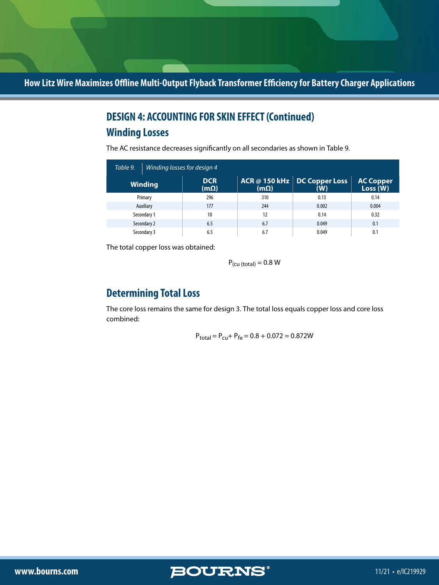# **Winding Losses DESIGN 4: ACCOUNTING FOR SKIN EFFECT (Continued)**

The AC resistance decreases significantly on all secondaries as shown in Table 9.

| Table 9.<br>Winding losses for design 4 |                           |             |                                            |                             |
|-----------------------------------------|---------------------------|-------------|--------------------------------------------|-----------------------------|
| <b>Winding</b>                          | <b>DCR</b><br>$(m\Omega)$ | $(m\Omega)$ | <b>ACR @ 150 kHz DC Copper Loss</b><br>(W) | <b>AC Copper</b><br>Loss(W) |
| Primary                                 | 296                       | 310         | 0.13                                       | 0.14                        |
| Auxiliary                               | 177                       | 244         | 0.002                                      | 0.004                       |
| Secondary 1                             | 10                        | 12          | 0.14                                       | 0.32                        |
| Secondary 2                             | 6.5                       | 6.7         | 0.049                                      | 0.1                         |
| Secondary 3                             | 6.5                       | 6.7         | 0.049                                      | 0.1                         |

The total copper loss was obtained:

 $P_{\text{(cu (total)}} = 0.8 \text{ W}$ 

### **Determining Total Loss**

The core loss remains the same for design 3. The total loss equals copper loss and core loss combined:

$$
P_{total} = P_{cu} + P_{fe} = 0.8 + 0.072 = 0.872W
$$

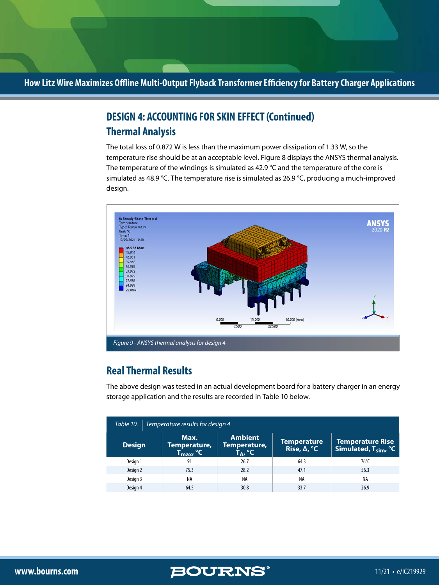# **Thermal Analysis DESIGN 4: ACCOUNTING FOR SKIN EFFECT (Continued)**

The total loss of 0.872 W is less than the maximum power dissipation of 1.33 W, so the temperature rise should be at an acceptable level. Figure 8 displays the ANSYS thermal analysis. The temperature of the windings is simulated as 42.9  $^{\circ}$ C and the temperature of the core is simulated as 48.9 °C. The temperature rise is simulated as 26.9 °C, producing a much-improved design.



# **Real Thermal Results**

The above design was tested in an actual development board for a battery charger in an energy storage application and the results are recorded in Table 10 below.

| Table 10.<br>Temperature results for design 4 |                                                      |                                                        |                                                     |                                                    |  |
|-----------------------------------------------|------------------------------------------------------|--------------------------------------------------------|-----------------------------------------------------|----------------------------------------------------|--|
| <b>Design</b>                                 | Max.<br>Temperature,<br>$T_{\sf max}$ , $^{\circ}$ C | <b>Ambient</b><br>Temperature,<br>T <sub>A</sub> , °C' | <b>Temperature</b><br>Rise, $\Delta$ , $^{\circ}$ C | <b>Temperature Rise</b><br>Simulated, $T_{sim}$ °C |  |
| Design 1                                      | 91                                                   | 26.7                                                   | 64.3                                                | $76^{\circ}$ C                                     |  |
| Design 2                                      | 75.3                                                 | 28.2                                                   | 47.1                                                | 56.3                                               |  |
| Design 3                                      | NA                                                   | <b>NA</b>                                              | NA                                                  | NA                                                 |  |
| Design 4                                      | 64.5                                                 | 30.8                                                   | 33.7                                                | 26.9                                               |  |

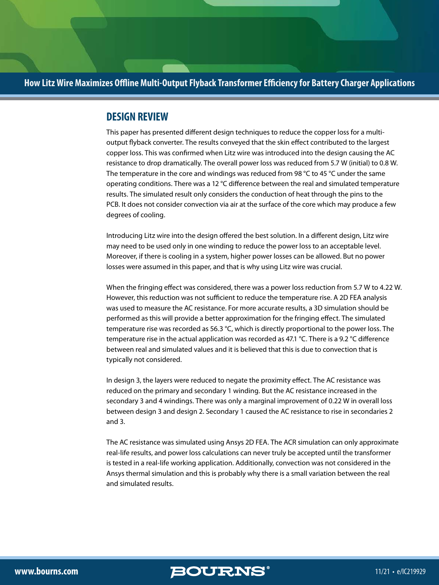#### **DESIGN REVIEW**

This paper has presented different design techniques to reduce the copper loss for a multioutput flyback converter. The results conveyed that the skin effect contributed to the largest copper loss. This was confirmed when Litz wire was introduced into the design causing the AC resistance to drop dramatically. The overall power loss was reduced from 5.7 W (initial) to 0.8 W. The temperature in the core and windings was reduced from 98  $\degree$ C to 45  $\degree$ C under the same operating conditions. There was a 12 °C difference between the real and simulated temperature results. The simulated result only considers the conduction of heat through the pins to the PCB. It does not consider convection via air at the surface of the core which may produce a few degrees of cooling.

Introducing Litz wire into the design offered the best solution. In a different design, Litz wire may need to be used only in one winding to reduce the power loss to an acceptable level. Moreover, if there is cooling in a system, higher power losses can be allowed. But no power losses were assumed in this paper, and that is why using Litz wire was crucial.

When the fringing effect was considered, there was a power loss reduction from 5.7 W to 4.22 W. However, this reduction was not sufficient to reduce the temperature rise. A 2D FEA analysis was used to measure the AC resistance. For more accurate results, a 3D simulation should be performed as this will provide a better approximation for the fringing effect. The simulated temperature rise was recorded as 56.3 °C, which is directly proportional to the power loss. The temperature rise in the actual application was recorded as 47.1 °C. There is a 9.2 °C difference between real and simulated values and it is believed that this is due to convection that is typically not considered.

In design 3, the layers were reduced to negate the proximity effect. The AC resistance was reduced on the primary and secondary 1 winding. But the AC resistance increased in the secondary 3 and 4 windings. There was only a marginal improvement of 0.22 W in overall loss between design 3 and design 2. Secondary 1 caused the AC resistance to rise in secondaries 2 and 3.

The AC resistance was simulated using Ansys 2D FEA. The ACR simulation can only approximate real-life results, and power loss calculations can never truly be accepted until the transformer is tested in a real-life working application. Additionally, convection was not considered in the Ansys thermal simulation and this is probably why there is a small variation between the real and simulated results.